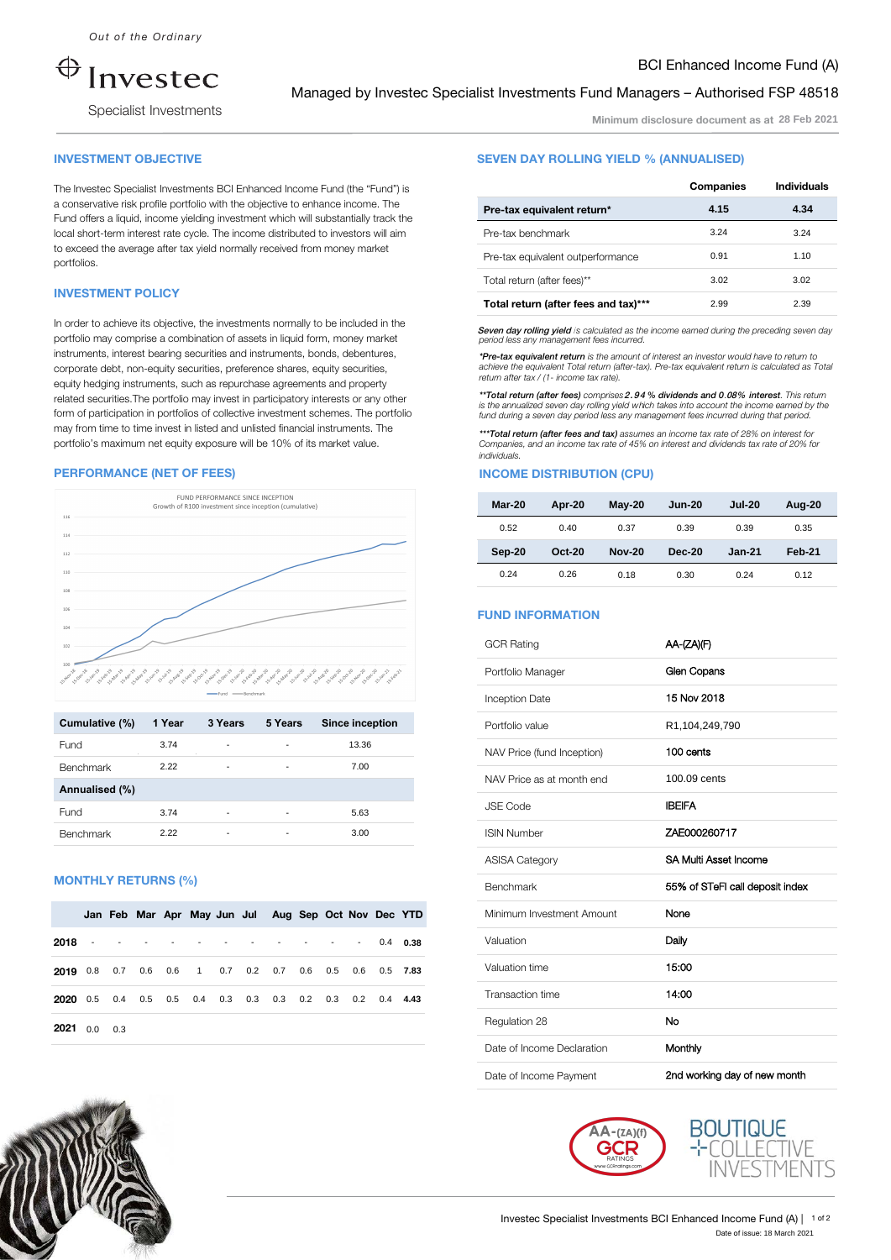$\bigoplus$ nvestec

Specialist Investments

# Managed by Investec Specialist Investments Fund Managers – Authorised FSP 48518

Minimum disclosure document as at **28 Feb 2021**

BCI Enhanced Income Fund (A)

## INVESTMENT OBJECTIVE

The Investec Specialist Investments BCI Enhanced Income Fund (the "Fund") is a conservative risk profile portfolio with the objective to enhance income. The Fund offers a liquid, income yielding investment which will substantially track the local short-term interest rate cycle. The income distributed to investors will aim to exceed the average after tax yield normally received from money market portfolios.

## INVESTMENT POLICY

In order to achieve its objective, the investments normally to be included in the portfolio may comprise a combination of assets in liquid form, money market instruments, interest bearing securities and instruments, bonds, debentures, corporate debt, non-equity securities, preference shares, equity securities, equity hedging instruments, such as repurchase agreements and property related securities.The portfolio may invest in participatory interests or any other form of participation in portfolios of collective investment schemes. The portfolio may from time to time invest in listed and unlisted financial instruments. The portfolio's maximum net equity exposure will be 10% of its market value.

#### PERFORMANCE (NET OF FEES)



| Cumulative (%)   | 1 Year | 3 Years                  | 5 Years | <b>Since inception</b> |
|------------------|--------|--------------------------|---------|------------------------|
| Fund             | 3.74   |                          |         | 13.36                  |
| <b>Benchmark</b> | 2.22   | ٠                        |         | 7.00                   |
| Annualised (%)   |        |                          |         |                        |
| Fund             | 3.74   | $\overline{\phantom{a}}$ |         | 5.63                   |
| <b>Benchmark</b> | 2.22   |                          |         | 3.00                   |

#### MONTHLY RETURNS (%)

|                |  |  |  | Jan Feb Mar Apr May Jun Jul Aug Sep Oct Nov Dec YTD       |  |  |  |
|----------------|--|--|--|-----------------------------------------------------------|--|--|--|
| 2018 -         |  |  |  | . 0.4 0.38                                                |  |  |  |
|                |  |  |  | 2019 0.8 0.7 0.6 0.6 1 0.7 0.2 0.7 0.6 0.5 0.6 0.5 7.83   |  |  |  |
|                |  |  |  | 2020 0.5 0.4 0.5 0.5 0.4 0.3 0.3 0.3 0.2 0.3 0.2 0.4 4.43 |  |  |  |
| $2021$ 0.0 0.3 |  |  |  |                                                           |  |  |  |

## SEVEN DAY ROLLING YIELD % (ANNUALISED)

|                                      | Companies | <b>Individuals</b> |
|--------------------------------------|-----------|--------------------|
| Pre-tax equivalent return*           | 4.15      | 4.34               |
| Pre-tax benchmark                    | 3.24      | 3.24               |
| Pre-tax equivalent outperformance    | 0.91      | 1.10               |
| Total return (after fees)**          | 3.02      | 3.02               |
| Total return (after fees and tax)*** | 2.99      | 2.39               |

Seven day rolling yield is calculated as the income earned during the preceding seven day period less any management fees incurred.

*\*Pre-tax equivalent return is the amount of interest an investor would have to return to achieve the equivalent Total return (after-tax). Pre-tax equivalent return is calculated as Total return after tax / (1- income tax rate)*.

*\*\*Total return (after fees) comprises* 2.94 *% dividends and 0*.08% *interest. This return is the annualized seven day rolling yield w*h*ich takes into account the income earned by the fund during a seven day period less any management fees incurred during that period.* 

*\*\*\*Total return (after fees and tax) assumes an income tax rate of 28% on interest for Companies, and an income tax rate of 45% on interest and dividends tax rate of 20% for individuals.* 

# **INCOME DISTRIBUTION (CPU)**

| Mar-20 | Apr-20   | $May-20$      | <b>Jun-20</b> | <b>Jul-20</b> | Aug-20 |
|--------|----------|---------------|---------------|---------------|--------|
| 0.52   | 0.40     | 0.37          | 0.39          | 0.39          | 0.35   |
|        |          |               |               |               |        |
| Sep-20 | $Oct-20$ | <b>Nov-20</b> | Dec-20        | <b>Jan-21</b> | Feb-21 |

## FUND INFORMATION

|     |             |             |                                                                                                                                        |     |     |       |                        |      | <b>GCR Rating</b>          | AA-(ZA)(F)                      |
|-----|-------------|-------------|----------------------------------------------------------------------------------------------------------------------------------------|-----|-----|-------|------------------------|------|----------------------------|---------------------------------|
|     |             |             | متعمل فيستمر فالمحمول فيستنبط والمحمول والمحمد والمحمد والمحمد والمحمد والمحمد فالمحمد والمحمد والمحمد والمحمد والمحمد والمحمد والمحمد |     |     |       |                        |      | Portfolio Manager          | Glen Copans                     |
|     |             | - Renchmark |                                                                                                                                        |     |     |       |                        |      | Inception Date             | 15 Nov 2018                     |
|     | 3 Years     |             | 5 Years                                                                                                                                |     |     |       | <b>Since inception</b> |      | Portfolio value            | R1,104,249,790                  |
|     |             |             |                                                                                                                                        |     |     | 13.36 |                        |      | NAV Price (fund Inception) | 100 cents                       |
|     |             |             |                                                                                                                                        |     |     | 7.00  |                        |      | NAV Price as at month end  | 100.09 cents                    |
|     |             |             |                                                                                                                                        |     |     | 5.63  |                        |      | <b>JSE Code</b>            | <b>IBEIFA</b>                   |
|     |             |             |                                                                                                                                        |     |     | 3.00  |                        |      | <b>ISIN Number</b>         | ZAE000260717                    |
|     |             |             |                                                                                                                                        |     |     |       |                        |      | <b>ASISA Category</b>      | SA Multi Asset Income           |
|     |             |             |                                                                                                                                        |     |     |       |                        |      | Benchmark                  | 55% of STeFI call deposit index |
|     | May Jun Jul |             | Aug Sep Oct Nov Dec YTD                                                                                                                |     |     |       |                        |      | Minimum Investment Amount  | None                            |
|     |             |             |                                                                                                                                        |     |     |       | 0.4                    | 0.38 | Valuation                  | Daily                           |
| 1   | 0.7         | 0.2         | 0.7                                                                                                                                    | 0.6 | 0.5 | 0.6   | 0.5                    | 7.83 | Valuation time             | 15:00                           |
| 0.4 | 0.3         | 0.3         | 0.3                                                                                                                                    | 0.2 | 0.3 | 0.2   | 0.4                    | 4.43 | Transaction time           | 14:00                           |
|     |             |             |                                                                                                                                        |     |     |       |                        |      | Regulation 28              | No                              |
|     |             |             |                                                                                                                                        |     |     |       |                        |      | Date of Income Declaration | Monthly                         |
|     |             |             |                                                                                                                                        |     |     |       |                        |      | Date of Income Payment     | 2nd working day of new month    |